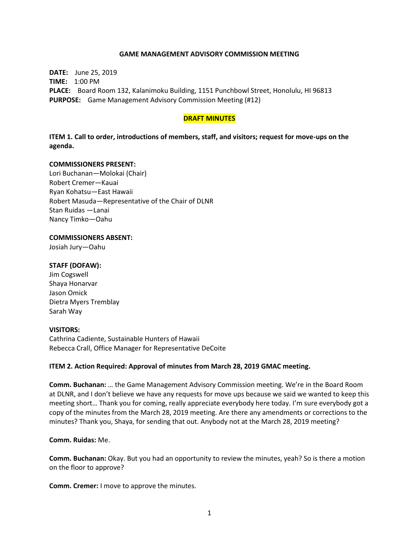### **GAME MANAGEMENT ADVISORY COMMISSION MEETING**

**DATE:** June 25, 2019 **TIME:** 1:00 PM **PLACE:** Board Room 132, Kalanimoku Building, 1151 Punchbowl Street, Honolulu, HI 96813 **PURPOSE:** Game Management Advisory Commission Meeting (#12)

### **DRAFT MINUTES**

**ITEM 1. Call to order, introductions of members, staff, and visitors; request for move-ups on the agenda.**

#### **COMMISSIONERS PRESENT:**

Lori Buchanan—Molokai (Chair) Robert Cremer—Kauai Ryan Kohatsu—East Hawaii Robert Masuda—Representative of the Chair of DLNR Stan Ruidas —Lanai Nancy Timko—Oahu

# **COMMISSIONERS ABSENT:**

Josiah Jury—Oahu

### **STAFF (DOFAW):**

Jim Cogswell Shaya Honarvar Jason Omick Dietra Myers Tremblay Sarah Way

### **VISITORS:**

Cathrina Cadiente, Sustainable Hunters of Hawaii Rebecca Crall, Office Manager for Representative DeCoite

### **ITEM 2. Action Required: Approval of minutes from March 28, 2019 GMAC meeting.**

**Comm. Buchanan:** … the Game Management Advisory Commission meeting. We're in the Board Room at DLNR, and I don't believe we have any requests for move ups because we said we wanted to keep this meeting short… Thank you for coming, really appreciate everybody here today. I'm sure everybody got a copy of the minutes from the March 28, 2019 meeting. Are there any amendments or corrections to the minutes? Thank you, Shaya, for sending that out. Anybody not at the March 28, 2019 meeting?

### **Comm. Ruidas:** Me.

**Comm. Buchanan:** Okay. But you had an opportunity to review the minutes, yeah? So is there a motion on the floor to approve?

**Comm. Cremer:** I move to approve the minutes.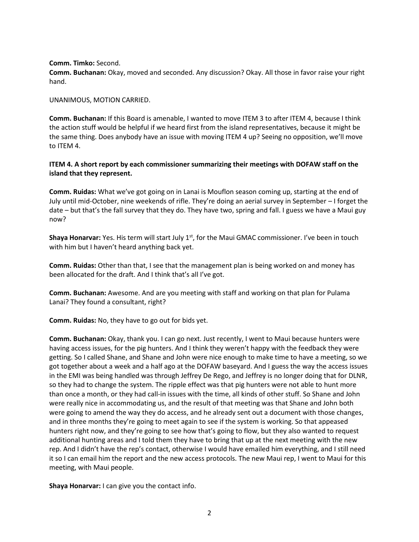**Comm. Timko:** Second.

**Comm. Buchanan:** Okay, moved and seconded. Any discussion? Okay. All those in favor raise your right hand.

UNANIMOUS, MOTION CARRIED.

**Comm. Buchanan:** If this Board is amenable, I wanted to move ITEM 3 to after ITEM 4, because I think the action stuff would be helpful if we heard first from the island representatives, because it might be the same thing. Does anybody have an issue with moving ITEM 4 up? Seeing no opposition, we'll move to ITEM 4.

# **ITEM 4. A short report by each commissioner summarizing their meetings with DOFAW staff on the island that they represent.**

**Comm. Ruidas:** What we've got going on in Lanai is Mouflon season coming up, starting at the end of July until mid-October, nine weekends of rifle. They're doing an aerial survey in September – I forget the date – but that's the fall survey that they do. They have two, spring and fall. I guess we have a Maui guy now?

**Shaya Honarvar:** Yes. His term will start July 1<sup>st</sup>, for the Maui GMAC commissioner. I've been in touch with him but I haven't heard anything back yet.

**Comm. Ruidas:** Other than that, I see that the management plan is being worked on and money has been allocated for the draft. And I think that's all I've got.

**Comm. Buchanan:** Awesome. And are you meeting with staff and working on that plan for Pulama Lanai? They found a consultant, right?

**Comm. Ruidas:** No, they have to go out for bids yet.

**Comm. Buchanan:** Okay, thank you. I can go next. Just recently, I went to Maui because hunters were having access issues, for the pig hunters. And I think they weren't happy with the feedback they were getting. So I called Shane, and Shane and John were nice enough to make time to have a meeting, so we got together about a week and a half ago at the DOFAW baseyard. And I guess the way the access issues in the EMI was being handled was through Jeffrey De Rego, and Jeffrey is no longer doing that for DLNR, so they had to change the system. The ripple effect was that pig hunters were not able to hunt more than once a month, or they had call-in issues with the time, all kinds of other stuff. So Shane and John were really nice in accommodating us, and the result of that meeting was that Shane and John both were going to amend the way they do access, and he already sent out a document with those changes, and in three months they're going to meet again to see if the system is working. So that appeased hunters right now, and they're going to see how that's going to flow, but they also wanted to request additional hunting areas and I told them they have to bring that up at the next meeting with the new rep. And I didn't have the rep's contact, otherwise I would have emailed him everything, and I still need it so I can email him the report and the new access protocols. The new Maui rep, I went to Maui for this meeting, with Maui people.

**Shaya Honarvar:** I can give you the contact info.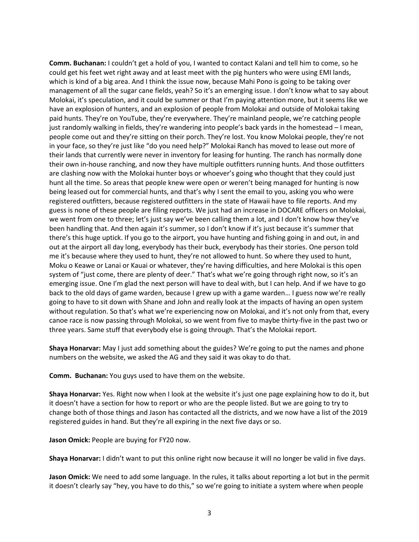**Comm. Buchanan:** I couldn't get a hold of you, I wanted to contact Kalani and tell him to come, so he could get his feet wet right away and at least meet with the pig hunters who were using EMI lands, which is kind of a big area. And I think the issue now, because Mahi Pono is going to be taking over management of all the sugar cane fields, yeah? So it's an emerging issue. I don't know what to say about Molokai, it's speculation, and it could be summer or that I'm paying attention more, but it seems like we have an explosion of hunters, and an explosion of people from Molokai and outside of Molokai taking paid hunts. They're on YouTube, they're everywhere. They're mainland people, we're catching people just randomly walking in fields, they're wandering into people's back yards in the homestead – I mean, people come out and they're sitting on their porch. They're lost. You know Molokai people, they're not in your face, so they're just like "do you need help?" Molokai Ranch has moved to lease out more of their lands that currently were never in inventory for leasing for hunting. The ranch has normally done their own in-house ranching, and now they have multiple outfitters running hunts. And those outfitters are clashing now with the Molokai hunter boys or whoever's going who thought that they could just hunt all the time. So areas that people knew were open or weren't being managed for hunting is now being leased out for commercial hunts, and that's why I sent the email to you, asking you who were registered outfitters, because registered outfitters in the state of Hawaii have to file reports. And my guess is none of these people are filing reports. We just had an increase in DOCARE officers on Molokai, we went from one to three; let's just say we've been calling them a lot, and I don't know how they've been handling that. And then again it's summer, so I don't know if it's just because it's summer that there's this huge uptick. If you go to the airport, you have hunting and fishing going in and out, in and out at the airport all day long, everybody has their buck, everybody has their stories. One person told me it's because where they used to hunt, they're not allowed to hunt. So where they used to hunt, Moku o Keawe or Lanai or Kauai or whatever, they're having difficulties, and here Molokai is this open system of "just come, there are plenty of deer." That's what we're going through right now, so it's an emerging issue. One I'm glad the next person will have to deal with, but I can help. And if we have to go back to the old days of game warden, because I grew up with a game warden… I guess now we're really going to have to sit down with Shane and John and really look at the impacts of having an open system without regulation. So that's what we're experiencing now on Molokai, and it's not only from that, every canoe race is now passing through Molokai, so we went from five to maybe thirty-five in the past two or three years. Same stuff that everybody else is going through. That's the Molokai report.

**Shaya Honarvar:** May I just add something about the guides? We're going to put the names and phone numbers on the website, we asked the AG and they said it was okay to do that.

**Comm. Buchanan:** You guys used to have them on the website.

**Shaya Honarvar:** Yes. Right now when I look at the website it's just one page explaining how to do it, but it doesn't have a section for how to report or who are the people listed. But we are going to try to change both of those things and Jason has contacted all the districts, and we now have a list of the 2019 registered guides in hand. But they're all expiring in the next five days or so.

**Jason Omick:** People are buying for FY20 now.

**Shaya Honarvar:** I didn't want to put this online right now because it will no longer be valid in five days.

**Jason Omick:** We need to add some language. In the rules, it talks about reporting a lot but in the permit it doesn't clearly say "hey, you have to do this," so we're going to initiate a system where when people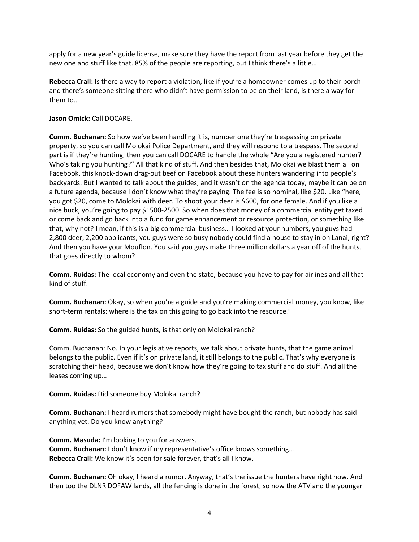apply for a new year's guide license, make sure they have the report from last year before they get the new one and stuff like that. 85% of the people are reporting, but I think there's a little…

**Rebecca Crall:** Is there a way to report a violation, like if you're a homeowner comes up to their porch and there's someone sitting there who didn't have permission to be on their land, is there a way for them to…

# **Jason Omick:** Call DOCARE.

**Comm. Buchanan:** So how we've been handling it is, number one they're trespassing on private property, so you can call Molokai Police Department, and they will respond to a trespass. The second part is if they're hunting, then you can call DOCARE to handle the whole "Are you a registered hunter? Who's taking you hunting?" All that kind of stuff. And then besides that, Molokai we blast them all on Facebook, this knock-down drag-out beef on Facebook about these hunters wandering into people's backyards. But I wanted to talk about the guides, and it wasn't on the agenda today, maybe it can be on a future agenda, because I don't know what they're paying. The fee is so nominal, like \$20. Like "here, you got \$20, come to Molokai with deer. To shoot your deer is \$600, for one female. And if you like a nice buck, you're going to pay \$1500-2500. So when does that money of a commercial entity get taxed or come back and go back into a fund for game enhancement or resource protection, or something like that, why not? I mean, if this is a big commercial business… I looked at your numbers, you guys had 2,800 deer, 2,200 applicants, you guys were so busy nobody could find a house to stay in on Lanai, right? And then you have your Mouflon. You said you guys make three million dollars a year off of the hunts, that goes directly to whom?

**Comm. Ruidas:** The local economy and even the state, because you have to pay for airlines and all that kind of stuff.

**Comm. Buchanan:** Okay, so when you're a guide and you're making commercial money, you know, like short-term rentals: where is the tax on this going to go back into the resource?

**Comm. Ruidas:** So the guided hunts, is that only on Molokai ranch?

Comm. Buchanan: No. In your legislative reports, we talk about private hunts, that the game animal belongs to the public. Even if it's on private land, it still belongs to the public. That's why everyone is scratching their head, because we don't know how they're going to tax stuff and do stuff. And all the leases coming up…

**Comm. Ruidas:** Did someone buy Molokai ranch?

**Comm. Buchanan:** I heard rumors that somebody might have bought the ranch, but nobody has said anything yet. Do you know anything?

**Comm. Masuda:** I'm looking to you for answers. **Comm. Buchanan:** I don't know if my representative's office knows something… **Rebecca Crall:** We know it's been for sale forever, that's all I know.

**Comm. Buchanan:** Oh okay, I heard a rumor. Anyway, that's the issue the hunters have right now. And then too the DLNR DOFAW lands, all the fencing is done in the forest, so now the ATV and the younger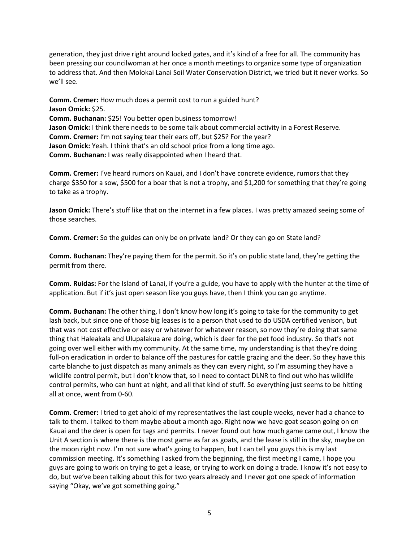generation, they just drive right around locked gates, and it's kind of a free for all. The community has been pressing our councilwoman at her once a month meetings to organize some type of organization to address that. And then Molokai Lanai Soil Water Conservation District, we tried but it never works. So we'll see.

**Comm. Cremer:** How much does a permit cost to run a guided hunt? **Jason Omick:** \$25. **Comm. Buchanan:** \$25! You better open business tomorrow! **Jason Omick:** I think there needs to be some talk about commercial activity in a Forest Reserve. **Comm. Cremer:** I'm not saying tear their ears off, but \$25? For the year? **Jason Omick:** Yeah. I think that's an old school price from a long time ago. **Comm. Buchanan:** I was really disappointed when I heard that.

**Comm. Cremer:** I've heard rumors on Kauai, and I don't have concrete evidence, rumors that they charge \$350 for a sow, \$500 for a boar that is not a trophy, and \$1,200 for something that they're going to take as a trophy.

**Jason Omick:** There's stuff like that on the internet in a few places. I was pretty amazed seeing some of those searches.

**Comm. Cremer:** So the guides can only be on private land? Or they can go on State land?

**Comm. Buchanan:** They're paying them for the permit. So it's on public state land, they're getting the permit from there.

**Comm. Ruidas:** For the Island of Lanai, if you're a guide, you have to apply with the hunter at the time of application. But if it's just open season like you guys have, then I think you can go anytime.

**Comm. Buchanan:** The other thing, I don't know how long it's going to take for the community to get lash back, but since one of those big leases is to a person that used to do USDA certified venison, but that was not cost effective or easy or whatever for whatever reason, so now they're doing that same thing that Haleakala and Ulupalakua are doing, which is deer for the pet food industry. So that's not going over well either with my community. At the same time, my understanding is that they're doing full-on eradication in order to balance off the pastures for cattle grazing and the deer. So they have this carte blanche to just dispatch as many animals as they can every night, so I'm assuming they have a wildlife control permit, but I don't know that, so I need to contact DLNR to find out who has wildlife control permits, who can hunt at night, and all that kind of stuff. So everything just seems to be hitting all at once, went from 0-60.

**Comm. Cremer:** I tried to get ahold of my representatives the last couple weeks, never had a chance to talk to them. I talked to them maybe about a month ago. Right now we have goat season going on on Kauai and the deer is open for tags and permits. I never found out how much game came out, I know the Unit A section is where there is the most game as far as goats, and the lease is still in the sky, maybe on the moon right now. I'm not sure what's going to happen, but I can tell you guys this is my last commission meeting. It's something I asked from the beginning, the first meeting I came, I hope you guys are going to work on trying to get a lease, or trying to work on doing a trade. I know it's not easy to do, but we've been talking about this for two years already and I never got one speck of information saying "Okay, we've got something going."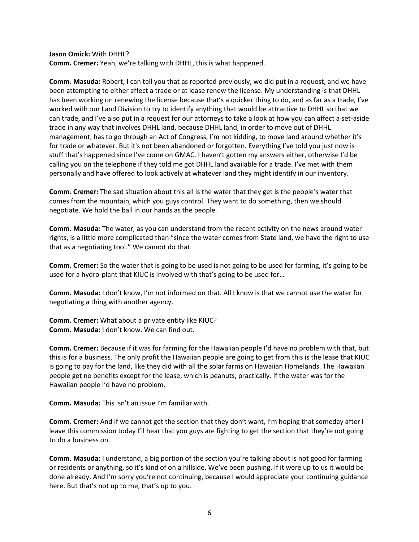**Jason Omick:** With DHHL?

**Comm. Cremer:** Yeah, we're talking with DHHL, this is what happened.

**Comm. Masuda:** Robert, I can tell you that as reported previously, we did put in a request, and we have been attempting to either affect a trade or at lease renew the license. My understanding is that DHHL has been working on renewing the license because that's a quicker thing to do, and as far as a trade, I've worked with our Land Division to try to identify anything that would be attractive to DHHL so that we can trade, and I've also put in a request for our attorneys to take a look at how you can affect a set-aside trade in any way that involves DHHL land, because DHHL land, in order to move out of DHHL management, has to go through an Act of Congress, I'm not kidding, to move land around whether it's for trade or whatever. But it's not been abandoned or forgotten. Everything I've told you just now is stuff that's happened since I've come on GMAC. I haven't gotten my answers either, otherwise I'd be calling you on the telephone if they told me got DHHL land available for a trade. I've met with them personally and have offered to look actively at whatever land they might identify in our inventory.

**Comm. Cremer:** The sad situation about this all is the water that they get is the people's water that comes from the mountain, which you guys control. They want to do something, then we should negotiate. We hold the ball in our hands as the people.

**Comm. Masuda:** The water, as you can understand from the recent activity on the news around water rights, is a little more complicated than "since the water comes from State land, we have the right to use that as a negotiating tool." We cannot do that.

**Comm. Cremer:** So the water that is going to be used is not going to be used for farming, it's going to be used for a hydro-plant that KIUC is involved with that's going to be used for…

**Comm. Masuda:** I don't know, I'm not informed on that. All I know is that we cannot use the water for negotiating a thing with another agency.

**Comm. Cremer:** What about a private entity like KIUC? **Comm. Masuda:** I don't know. We can find out.

**Comm. Cremer:** Because if it was for farming for the Hawaiian people I'd have no problem with that, but this is for a business. The only profit the Hawaiian people are going to get from this is the lease that KIUC is going to pay for the land, like they did with all the solar farms on Hawaiian Homelands. The Hawaiian people get no benefits except for the lease, which is peanuts, practically. If the water was for the Hawaiian people I'd have no problem.

**Comm. Masuda:** This isn't an issue I'm familiar with.

**Comm. Cremer:** And if we cannot get the section that they don't want, I'm hoping that someday after I leave this commission today I'll hear that you guys are fighting to get the section that they're not going to do a business on.

**Comm. Masuda:** I understand, a big portion of the section you're talking about is not good for farming or residents or anything, so it's kind of on a hillside. We've been pushing. If it were up to us it would be done already. And I'm sorry you're not continuing, because I would appreciate your continuing guidance here. But that's not up to me, that's up to you.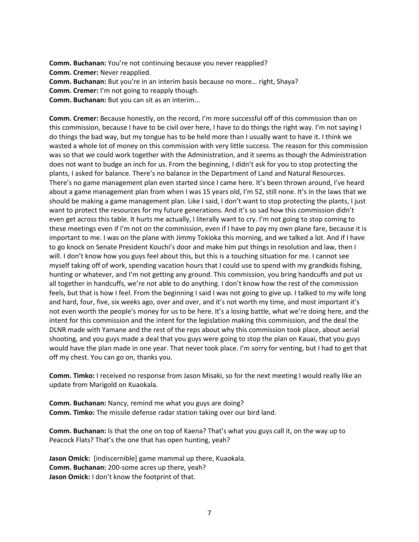**Comm. Buchanan:** You're not continuing because you never reapplied? **Comm. Cremer:** Never reapplied. **Comm. Buchanan:** But you're in an interim basis because no more… right, Shaya? **Comm. Cremer:** I'm not going to reapply though.

**Comm. Buchanan:** But you can sit as an interim...

**Comm. Cremer:** Because honestly, on the record, I'm more successful off of this commission than on this commission, because I have to be civil over here, I have to do things the right way. I'm not saying I do things the bad way, but my tongue has to be held more than I usually want to have it. I think we wasted a whole lot of money on this commission with very little success. The reason for this commission was so that we could work together with the Administration, and it seems as though the Administration does not want to budge an inch for us. From the beginning, I didn't ask for you to stop protecting the plants, I asked for balance. There's no balance in the Department of Land and Natural Resources. There's no game management plan even started since I came here. It's been thrown around, I've heard about a game management plan from when I was 15 years old, I'm 52, still none. It's in the laws that we should be making a game management plan. Like I said, I don't want to stop protecting the plants, I just want to protect the resources for my future generations. And it's so sad how this commission didn't even get across this table. It hurts me actually, I literally want to cry. I'm not going to stop coming to these meetings even if I'm not on the commission, even if I have to pay my own plane fare, because it is important to me. I was on the plane with Jimmy Tokioka this morning, and we talked a lot. And if I have to go knock on Senate President Kouchi's door and make him put things in resolution and law, then I will. I don't know how you guys feel about this, but this is a touching situation for me. I cannot see myself taking off of work, spending vacation hours that I could use to spend with my grandkids fishing, hunting or whatever, and I'm not getting any ground. This commission, you bring handcuffs and put us all together in handcuffs, we're not able to do anything. I don't know how the rest of the commission feels, but that is how I feel. From the beginning I said I was not going to give up. I talked to my wife long and hard, four, five, six weeks ago, over and over, and it's not worth my time, and most important it's not even worth the people's money for us to be here. It's a losing battle, what we're doing here, and the intent for this commission and the intent for the legislation making this commission, and the deal the DLNR made with Yamane and the rest of the reps about why this commission took place, about aerial shooting, and you guys made a deal that you guys were going to stop the plan on Kauai, that you guys would have the plan made in one year. That never took place. I'm sorry for venting, but I had to get that off my chest. You can go on, thanks you.

**Comm. Timko:** I received no response from Jason Misaki, so for the next meeting I would really like an update from Marigold on Kuaokala.

**Comm. Buchanan:** Nancy, remind me what you guys are doing? **Comm. Timko:** The missile defense radar station taking over our bird land.

**Comm. Buchanan:** Is that the one on top of Kaena? That's what you guys call it, on the way up to Peacock Flats? That's the one that has open hunting, yeah?

**Jason Omick:** [indiscernible] game mammal up there, Kuaokala. **Comm. Buchanan:** 200-some acres up there, yeah? **Jason Omick:** I don't know the footprint of that.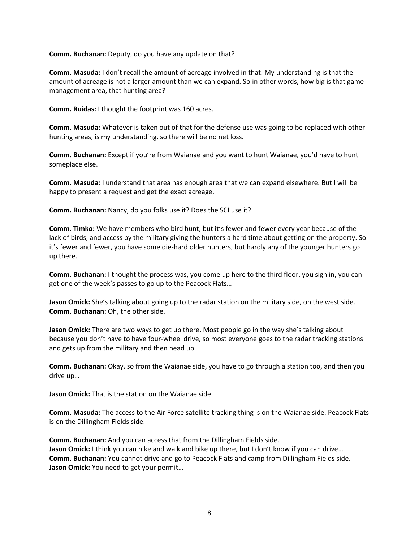**Comm. Buchanan:** Deputy, do you have any update on that?

**Comm. Masuda:** I don't recall the amount of acreage involved in that. My understanding is that the amount of acreage is not a larger amount than we can expand. So in other words, how big is that game management area, that hunting area?

**Comm. Ruidas:** I thought the footprint was 160 acres.

**Comm. Masuda:** Whatever is taken out of that for the defense use was going to be replaced with other hunting areas, is my understanding, so there will be no net loss.

**Comm. Buchanan:** Except if you're from Waianae and you want to hunt Waianae, you'd have to hunt someplace else.

**Comm. Masuda:** I understand that area has enough area that we can expand elsewhere. But I will be happy to present a request and get the exact acreage.

**Comm. Buchanan:** Nancy, do you folks use it? Does the SCI use it?

**Comm. Timko:** We have members who bird hunt, but it's fewer and fewer every year because of the lack of birds, and access by the military giving the hunters a hard time about getting on the property. So it's fewer and fewer, you have some die-hard older hunters, but hardly any of the younger hunters go up there.

**Comm. Buchanan:** I thought the process was, you come up here to the third floor, you sign in, you can get one of the week's passes to go up to the Peacock Flats…

**Jason Omick:** She's talking about going up to the radar station on the military side, on the west side. **Comm. Buchanan:** Oh, the other side.

**Jason Omick:** There are two ways to get up there. Most people go in the way she's talking about because you don't have to have four-wheel drive, so most everyone goes to the radar tracking stations and gets up from the military and then head up.

**Comm. Buchanan:** Okay, so from the Waianae side, you have to go through a station too, and then you drive up…

**Jason Omick:** That is the station on the Waianae side.

**Comm. Masuda:** The access to the Air Force satellite tracking thing is on the Waianae side. Peacock Flats is on the Dillingham Fields side.

**Comm. Buchanan:** And you can access that from the Dillingham Fields side. **Jason Omick:** I think you can hike and walk and bike up there, but I don't know if you can drive… **Comm. Buchanan:** You cannot drive and go to Peacock Flats and camp from Dillingham Fields side. **Jason Omick:** You need to get your permit…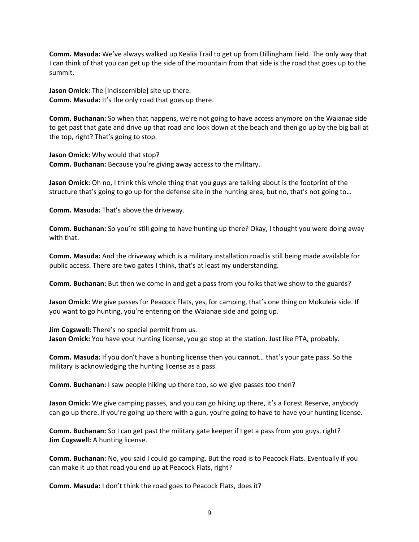**Comm. Masuda:** We've always walked up Kealia Trail to get up from Dillingham Field. The only way that I can think of that you can get up the side of the mountain from that side is the road that goes up to the summit.

**Jason Omick:** The [indiscernible] site up there. **Comm. Masuda:** It's the only road that goes up there.

**Comm. Buchanan:** So when that happens, we're not going to have access anymore on the Waianae side to get past that gate and drive up that road and look down at the beach and then go up by the big ball at the top, right? That's going to stop.

**Jason Omick:** Why would that stop? **Comm. Buchanan:** Because you're giving away access to the military.

**Jason Omick:** Oh no, I think this whole thing that you guys are talking about is the footprint of the structure that's going to go up for the defense site in the hunting area, but no, that's not going to…

**Comm. Masuda:** That's above the driveway.

**Comm. Buchanan:** So you're still going to have hunting up there? Okay, I thought you were doing away with that.

**Comm. Masuda:** And the driveway which is a military installation road is still being made available for public access. There are two gates I think, that's at least my understanding.

**Comm. Buchanan:** But then we come in and get a pass from you folks that we show to the guards?

**Jason Omick:** We give passes for Peacock Flats, yes, for camping, that's one thing on Mokuleia side. If you want to go hunting, you're entering on the Waianae side and going up.

**Jim Cogswell:** There's no special permit from us. **Jason Omick:** You have your hunting license, you go stop at the station. Just like PTA, probably.

**Comm. Masuda:** If you don't have a hunting license then you cannot… that's your gate pass. So the military is acknowledging the hunting license as a pass.

**Comm. Buchanan:** I saw people hiking up there too, so we give passes too then?

**Jason Omick:** We give camping passes, and you can go hiking up there, it's a Forest Reserve, anybody can go up there. If you're going up there with a gun, you're going to have to have your hunting license.

**Comm. Buchanan:** So I can get past the military gate keeper if I get a pass from you guys, right? **Jim Cogswell:** A hunting license.

**Comm. Buchanan:** No, you said I could go camping. But the road is to Peacock Flats. Eventually if you can make it up that road you end up at Peacock Flats, right?

**Comm. Masuda:** I don't think the road goes to Peacock Flats, does it?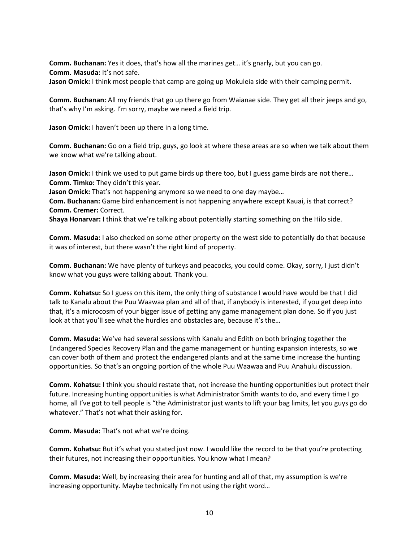**Comm. Buchanan:** Yes it does, that's how all the marines get… it's gnarly, but you can go. **Comm. Masuda:** It's not safe. **Jason Omick:** I think most people that camp are going up Mokuleia side with their camping permit.

**Comm. Buchanan:** All my friends that go up there go from Waianae side. They get all their jeeps and go, that's why I'm asking. I'm sorry, maybe we need a field trip.

**Jason Omick:** I haven't been up there in a long time.

**Comm. Buchanan:** Go on a field trip, guys, go look at where these areas are so when we talk about them we know what we're talking about.

**Jason Omick:** I think we used to put game birds up there too, but I guess game birds are not there… **Comm. Timko:** They didn't this year.

**Jason Omick:** That's not happening anymore so we need to one day maybe…

**Com. Buchanan:** Game bird enhancement is not happening anywhere except Kauai, is that correct? **Comm. Cremer:** Correct.

**Shaya Honarvar:** I think that we're talking about potentially starting something on the Hilo side.

**Comm. Masuda:** I also checked on some other property on the west side to potentially do that because it was of interest, but there wasn't the right kind of property.

**Comm. Buchanan:** We have plenty of turkeys and peacocks, you could come. Okay, sorry, I just didn't know what you guys were talking about. Thank you.

**Comm. Kohatsu:** So I guess on this item, the only thing of substance I would have would be that I did talk to Kanalu about the Puu Waawaa plan and all of that, if anybody is interested, if you get deep into that, it's a microcosm of your bigger issue of getting any game management plan done. So if you just look at that you'll see what the hurdles and obstacles are, because it's the...

**Comm. Masuda:** We've had several sessions with Kanalu and Edith on both bringing together the Endangered Species Recovery Plan and the game management or hunting expansion interests, so we can cover both of them and protect the endangered plants and at the same time increase the hunting opportunities. So that's an ongoing portion of the whole Puu Waawaa and Puu Anahulu discussion.

**Comm. Kohatsu:** I think you should restate that, not increase the hunting opportunities but protect their future. Increasing hunting opportunities is what Administrator Smith wants to do, and every time I go home, all I've got to tell people is "the Administrator just wants to lift your bag limits, let you guys go do whatever." That's not what their asking for.

**Comm. Masuda:** That's not what we're doing.

**Comm. Kohatsu:** But it's what you stated just now. I would like the record to be that you're protecting their futures, not increasing their opportunities. You know what I mean?

**Comm. Masuda:** Well, by increasing their area for hunting and all of that, my assumption is we're increasing opportunity. Maybe technically I'm not using the right word…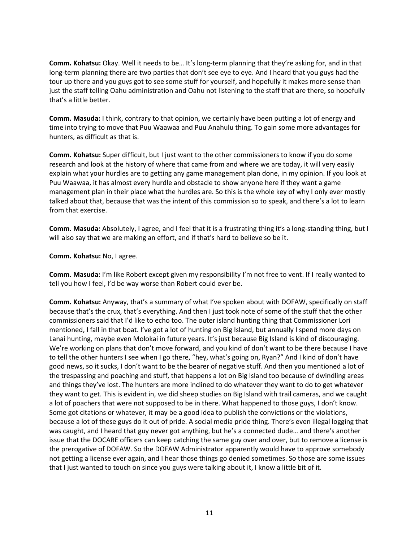**Comm. Kohatsu:** Okay. Well it needs to be… It's long-term planning that they're asking for, and in that long-term planning there are two parties that don't see eye to eye. And I heard that you guys had the tour up there and you guys got to see some stuff for yourself, and hopefully it makes more sense than just the staff telling Oahu administration and Oahu not listening to the staff that are there, so hopefully that's a little better.

**Comm. Masuda:** I think, contrary to that opinion, we certainly have been putting a lot of energy and time into trying to move that Puu Waawaa and Puu Anahulu thing. To gain some more advantages for hunters, as difficult as that is.

**Comm. Kohatsu:** Super difficult, but I just want to the other commissioners to know if you do some research and look at the history of where that came from and where we are today, it will very easily explain what your hurdles are to getting any game management plan done, in my opinion. If you look at Puu Waawaa, it has almost every hurdle and obstacle to show anyone here if they want a game management plan in their place what the hurdles are. So this is the whole key of why I only ever mostly talked about that, because that was the intent of this commission so to speak, and there's a lot to learn from that exercise.

**Comm. Masuda:** Absolutely, I agree, and I feel that it is a frustrating thing it's a long-standing thing, but I will also say that we are making an effort, and if that's hard to believe so be it.

**Comm. Kohatsu:** No, I agree.

**Comm. Masuda:** I'm like Robert except given my responsibility I'm not free to vent. If I really wanted to tell you how I feel, I'd be way worse than Robert could ever be.

**Comm. Kohatsu:** Anyway, that's a summary of what I've spoken about with DOFAW, specifically on staff because that's the crux, that's everything. And then I just took note of some of the stuff that the other commissioners said that I'd like to echo too. The outer island hunting thing that Commissioner Lori mentioned, I fall in that boat. I've got a lot of hunting on Big Island, but annually I spend more days on Lanai hunting, maybe even Molokai in future years. It's just because Big Island is kind of discouraging. We're working on plans that don't move forward, and you kind of don't want to be there because I have to tell the other hunters I see when I go there, "hey, what's going on, Ryan?" And I kind of don't have good news, so it sucks, I don't want to be the bearer of negative stuff. And then you mentioned a lot of the trespassing and poaching and stuff, that happens a lot on Big Island too because of dwindling areas and things they've lost. The hunters are more inclined to do whatever they want to do to get whatever they want to get. This is evident in, we did sheep studies on Big Island with trail cameras, and we caught a lot of poachers that were not supposed to be in there. What happened to those guys, I don't know. Some got citations or whatever, it may be a good idea to publish the convictions or the violations, because a lot of these guys do it out of pride. A social media pride thing. There's even illegal logging that was caught, and I heard that guy never got anything, but he's a connected dude… and there's another issue that the DOCARE officers can keep catching the same guy over and over, but to remove a license is the prerogative of DOFAW. So the DOFAW Administrator apparently would have to approve somebody not getting a license ever again, and I hear those things go denied sometimes. So those are some issues that I just wanted to touch on since you guys were talking about it, I know a little bit of it.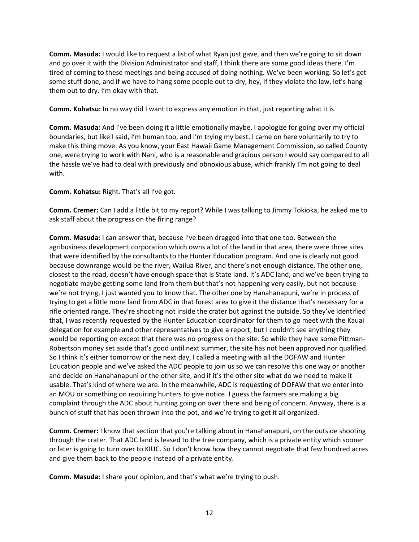**Comm. Masuda:** I would like to request a list of what Ryan just gave, and then we're going to sit down and go over it with the Division Administrator and staff, I think there are some good ideas there. I'm tired of coming to these meetings and being accused of doing nothing. We've been working. So let's get some stuff done, and if we have to hang some people out to dry, hey, if they violate the law, let's hang them out to dry. I'm okay with that.

**Comm. Kohatsu:** In no way did I want to express any emotion in that, just reporting what it is.

**Comm. Masuda:** And I've been doing it a little emotionally maybe, I apologize for going over my official boundaries, but like I said, I'm human too, and I'm trying my best. I came on here voluntarily to try to make this thing move. As you know, your East Hawaii Game Management Commission, so called County one, were trying to work with Nani, who is a reasonable and gracious person I would say compared to all the hassle we've had to deal with previously and obnoxious abuse, which frankly I'm not going to deal with.

**Comm. Kohatsu:** Right. That's all I've got.

**Comm. Cremer:** Can I add a little bit to my report? While I was talking to Jimmy Tokioka, he asked me to ask staff about the progress on the firing range?

**Comm. Masuda:** I can answer that, because I've been dragged into that one too. Between the agribusiness development corporation which owns a lot of the land in that area, there were three sites that were identified by the consultants to the Hunter Education program. And one is clearly not good because downrange would be the river, Wailua River, and there's not enough distance. The other one, closest to the road, doesn't have enough space that is State land. It's ADC land, and we've been trying to negotiate maybe getting some land from them but that's not happening very easily, but not because we're not trying, I just wanted you to know that. The other one by Hanahanapuni, we're in process of trying to get a little more land from ADC in that forest area to give it the distance that's necessary for a rifle oriented range. They're shooting not inside the crater but against the outside. So they've identified that, I was recently requested by the Hunter Education coordinator for them to go meet with the Kauai delegation for example and other representatives to give a report, but I couldn't see anything they would be reporting on except that there was no progress on the site. So while they have some Pittman-Robertson money set aside that's good until next summer, the site has not been approved nor qualified. So I think it's either tomorrow or the next day, I called a meeting with all the DOFAW and Hunter Education people and we've asked the ADC people to join us so we can resolve this one way or another and decide on Hanahanapuni or the other site, and if it's the other site what do we need to make it usable. That's kind of where we are. In the meanwhile, ADC is requesting of DOFAW that we enter into an MOU or something on requiring hunters to give notice. I guess the farmers are making a big complaint through the ADC about hunting going on over there and being of concern. Anyway, there is a bunch of stuff that has been thrown into the pot, and we're trying to get it all organized.

**Comm. Cremer:** I know that section that you're talking about in Hanahanapuni, on the outside shooting through the crater. That ADC land is leased to the tree company, which is a private entity which sooner or later is going to turn over to KIUC. So I don't know how they cannot negotiate that few hundred acres and give them back to the people instead of a private entity.

**Comm. Masuda:** I share your opinion, and that's what we're trying to push.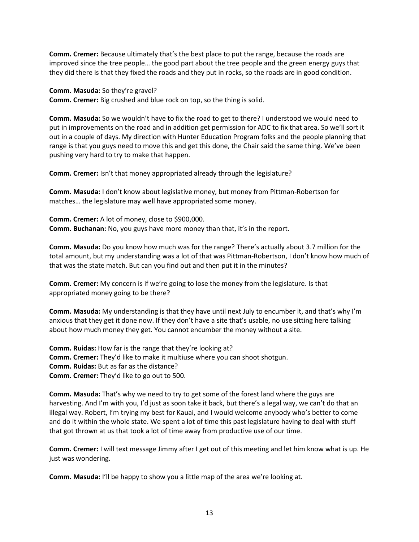**Comm. Cremer:** Because ultimately that's the best place to put the range, because the roads are improved since the tree people… the good part about the tree people and the green energy guys that they did there is that they fixed the roads and they put in rocks, so the roads are in good condition.

**Comm. Masuda:** So they're gravel? **Comm. Cremer:** Big crushed and blue rock on top, so the thing is solid.

**Comm. Masuda:** So we wouldn't have to fix the road to get to there? I understood we would need to put in improvements on the road and in addition get permission for ADC to fix that area. So we'll sort it out in a couple of days. My direction with Hunter Education Program folks and the people planning that range is that you guys need to move this and get this done, the Chair said the same thing. We've been pushing very hard to try to make that happen.

**Comm. Cremer:** Isn't that money appropriated already through the legislature?

**Comm. Masuda:** I don't know about legislative money, but money from Pittman-Robertson for matches… the legislature may well have appropriated some money.

**Comm. Cremer:** A lot of money, close to \$900,000. **Comm. Buchanan:** No, you guys have more money than that, it's in the report.

**Comm. Masuda:** Do you know how much was for the range? There's actually about 3.7 million for the total amount, but my understanding was a lot of that was Pittman-Robertson, I don't know how much of that was the state match. But can you find out and then put it in the minutes?

**Comm. Cremer:** My concern is if we're going to lose the money from the legislature. Is that appropriated money going to be there?

**Comm. Masuda:** My understanding is that they have until next July to encumber it, and that's why I'm anxious that they get it done now. If they don't have a site that's usable, no use sitting here talking about how much money they get. You cannot encumber the money without a site.

**Comm. Ruidas:** How far is the range that they're looking at? **Comm. Cremer:** They'd like to make it multiuse where you can shoot shotgun. **Comm. Ruidas:** But as far as the distance? **Comm. Cremer:** They'd like to go out to 500.

**Comm. Masuda:** That's why we need to try to get some of the forest land where the guys are harvesting. And I'm with you, I'd just as soon take it back, but there's a legal way, we can't do that an illegal way. Robert, I'm trying my best for Kauai, and I would welcome anybody who's better to come and do it within the whole state. We spent a lot of time this past legislature having to deal with stuff that got thrown at us that took a lot of time away from productive use of our time.

**Comm. Cremer:** I will text message Jimmy after I get out of this meeting and let him know what is up. He just was wondering.

**Comm. Masuda:** I'll be happy to show you a little map of the area we're looking at.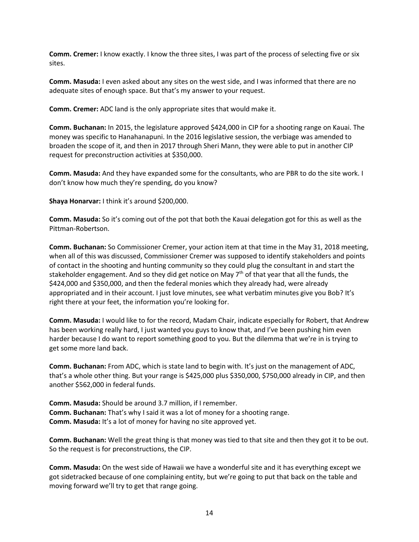**Comm. Cremer:** I know exactly. I know the three sites, I was part of the process of selecting five or six sites.

**Comm. Masuda:** I even asked about any sites on the west side, and I was informed that there are no adequate sites of enough space. But that's my answer to your request.

**Comm. Cremer:** ADC land is the only appropriate sites that would make it.

**Comm. Buchanan:** In 2015, the legislature approved \$424,000 in CIP for a shooting range on Kauai. The money was specific to Hanahanapuni. In the 2016 legislative session, the verbiage was amended to broaden the scope of it, and then in 2017 through Sheri Mann, they were able to put in another CIP request for preconstruction activities at \$350,000.

**Comm. Masuda:** And they have expanded some for the consultants, who are PBR to do the site work. I don't know how much they're spending, do you know?

**Shaya Honarvar:** I think it's around \$200,000.

**Comm. Masuda:** So it's coming out of the pot that both the Kauai delegation got for this as well as the Pittman-Robertson.

**Comm. Buchanan:** So Commissioner Cremer, your action item at that time in the May 31, 2018 meeting, when all of this was discussed, Commissioner Cremer was supposed to identify stakeholders and points of contact in the shooting and hunting community so they could plug the consultant in and start the stakeholder engagement. And so they did get notice on May 7<sup>th</sup> of that year that all the funds, the \$424,000 and \$350,000, and then the federal monies which they already had, were already appropriated and in their account. I just love minutes, see what verbatim minutes give you Bob? It's right there at your feet, the information you're looking for.

**Comm. Masuda:** I would like to for the record, Madam Chair, indicate especially for Robert, that Andrew has been working really hard, I just wanted you guys to know that, and I've been pushing him even harder because I do want to report something good to you. But the dilemma that we're in is trying to get some more land back.

**Comm. Buchanan:** From ADC, which is state land to begin with. It's just on the management of ADC, that's a whole other thing. But your range is \$425,000 plus \$350,000, \$750,000 already in CIP, and then another \$562,000 in federal funds.

**Comm. Masuda:** Should be around 3.7 million, if I remember. **Comm. Buchanan:** That's why I said it was a lot of money for a shooting range. **Comm. Masuda:** It's a lot of money for having no site approved yet.

**Comm. Buchanan:** Well the great thing is that money was tied to that site and then they got it to be out. So the request is for preconstructions, the CIP.

**Comm. Masuda:** On the west side of Hawaii we have a wonderful site and it has everything except we got sidetracked because of one complaining entity, but we're going to put that back on the table and moving forward we'll try to get that range going.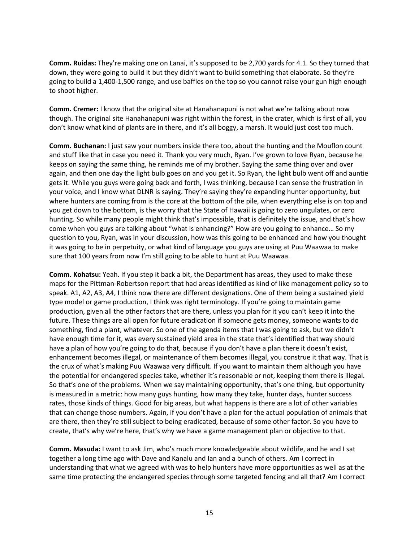**Comm. Ruidas:** They're making one on Lanai, it's supposed to be 2,700 yards for 4.1. So they turned that down, they were going to build it but they didn't want to build something that elaborate. So they're going to build a 1,400-1,500 range, and use baffles on the top so you cannot raise your gun high enough to shoot higher.

**Comm. Cremer:** I know that the original site at Hanahanapuni is not what we're talking about now though. The original site Hanahanapuni was right within the forest, in the crater, which is first of all, you don't know what kind of plants are in there, and it's all boggy, a marsh. It would just cost too much.

**Comm. Buchanan:** I just saw your numbers inside there too, about the hunting and the Mouflon count and stuff like that in case you need it. Thank you very much, Ryan. I've grown to love Ryan, because he keeps on saying the same thing, he reminds me of my brother. Saying the same thing over and over again, and then one day the light bulb goes on and you get it. So Ryan, the light bulb went off and auntie gets it. While you guys were going back and forth, I was thinking, because I can sense the frustration in your voice, and I know what DLNR is saying. They're saying they're expanding hunter opportunity, but where hunters are coming from is the core at the bottom of the pile, when everything else is on top and you get down to the bottom, is the worry that the State of Hawaii is going to zero ungulates, or zero hunting. So while many people might think that's impossible, that is definitely the issue, and that's how come when you guys are talking about "what is enhancing?" How are you going to enhance… So my question to you, Ryan, was in your discussion, how was this going to be enhanced and how you thought it was going to be in perpetuity, or what kind of language you guys are using at Puu Waawaa to make sure that 100 years from now I'm still going to be able to hunt at Puu Waawaa.

**Comm. Kohatsu:** Yeah. If you step it back a bit, the Department has areas, they used to make these maps for the Pittman-Robertson report that had areas identified as kind of like management policy so to speak. A1, A2, A3, A4, I think now there are different designations. One of them being a sustained yield type model or game production, I think was right terminology. If you're going to maintain game production, given all the other factors that are there, unless you plan for it you can't keep it into the future. These things are all open for future eradication if someone gets money, someone wants to do something, find a plant, whatever. So one of the agenda items that I was going to ask, but we didn't have enough time for it, was every sustained yield area in the state that's identified that way should have a plan of how you're going to do that, because if you don't have a plan there it doesn't exist, enhancement becomes illegal, or maintenance of them becomes illegal, you construe it that way. That is the crux of what's making Puu Waawaa very difficult. If you want to maintain them although you have the potential for endangered species take, whether it's reasonable or not, keeping them there is illegal. So that's one of the problems. When we say maintaining opportunity, that's one thing, but opportunity is measured in a metric: how many guys hunting, how many they take, hunter days, hunter success rates, those kinds of things. Good for big areas, but what happens is there are a lot of other variables that can change those numbers. Again, if you don't have a plan for the actual population of animals that are there, then they're still subject to being eradicated, because of some other factor. So you have to create, that's why we're here, that's why we have a game management plan or objective to that.

**Comm. Masuda:** I want to ask Jim, who's much more knowledgeable about wildlife, and he and I sat together a long time ago with Dave and Kanalu and Ian and a bunch of others. Am I correct in understanding that what we agreed with was to help hunters have more opportunities as well as at the same time protecting the endangered species through some targeted fencing and all that? Am I correct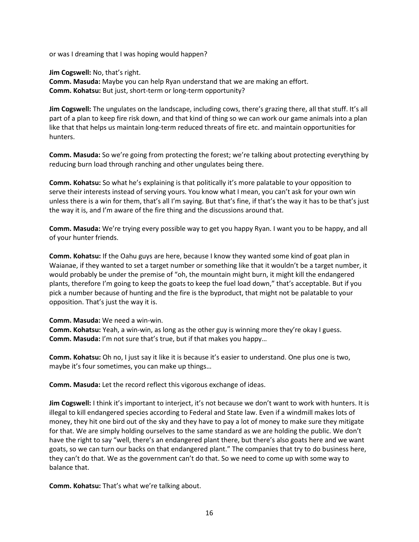or was I dreaming that I was hoping would happen?

**Jim Cogswell:** No, that's right. **Comm. Masuda:** Maybe you can help Ryan understand that we are making an effort. **Comm. Kohatsu:** But just, short-term or long-term opportunity?

**Jim Cogswell:** The ungulates on the landscape, including cows, there's grazing there, all that stuff. It's all part of a plan to keep fire risk down, and that kind of thing so we can work our game animals into a plan like that that helps us maintain long-term reduced threats of fire etc. and maintain opportunities for hunters.

**Comm. Masuda:** So we're going from protecting the forest; we're talking about protecting everything by reducing burn load through ranching and other ungulates being there.

**Comm. Kohatsu:** So what he's explaining is that politically it's more palatable to your opposition to serve their interests instead of serving yours. You know what I mean, you can't ask for your own win unless there is a win for them, that's all I'm saying. But that's fine, if that's the way it has to be that's just the way it is, and I'm aware of the fire thing and the discussions around that.

**Comm. Masuda:** We're trying every possible way to get you happy Ryan. I want you to be happy, and all of your hunter friends.

**Comm. Kohatsu:** If the Oahu guys are here, because I know they wanted some kind of goat plan in Waianae, if they wanted to set a target number or something like that it wouldn't be a target number, it would probably be under the premise of "oh, the mountain might burn, it might kill the endangered plants, therefore I'm going to keep the goats to keep the fuel load down," that's acceptable. But if you pick a number because of hunting and the fire is the byproduct, that might not be palatable to your opposition. That's just the way it is.

**Comm. Masuda:** We need a win-win.

**Comm. Kohatsu:** Yeah, a win-win, as long as the other guy is winning more they're okay I guess. **Comm. Masuda:** I'm not sure that's true, but if that makes you happy…

**Comm. Kohatsu:** Oh no, I just say it like it is because it's easier to understand. One plus one is two, maybe it's four sometimes, you can make up things…

**Comm. Masuda:** Let the record reflect this vigorous exchange of ideas.

**Jim Cogswell:** I think it's important to interject, it's not because we don't want to work with hunters. It is illegal to kill endangered species according to Federal and State law. Even if a windmill makes lots of money, they hit one bird out of the sky and they have to pay a lot of money to make sure they mitigate for that. We are simply holding ourselves to the same standard as we are holding the public. We don't have the right to say "well, there's an endangered plant there, but there's also goats here and we want goats, so we can turn our backs on that endangered plant." The companies that try to do business here, they can't do that. We as the government can't do that. So we need to come up with some way to balance that.

**Comm. Kohatsu:** That's what we're talking about.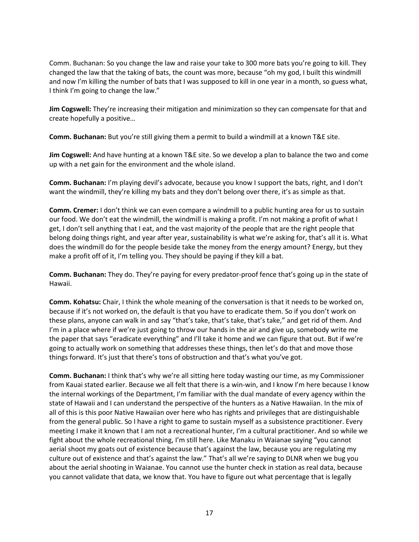Comm. Buchanan: So you change the law and raise your take to 300 more bats you're going to kill. They changed the law that the taking of bats, the count was more, because "oh my god, I built this windmill and now I'm killing the number of bats that I was supposed to kill in one year in a month, so guess what, I think I'm going to change the law."

**Jim Cogswell:** They're increasing their mitigation and minimization so they can compensate for that and create hopefully a positive…

**Comm. Buchanan:** But you're still giving them a permit to build a windmill at a known T&E site.

**Jim Cogswell:** And have hunting at a known T&E site. So we develop a plan to balance the two and come up with a net gain for the environment and the whole island.

**Comm. Buchanan:** I'm playing devil's advocate, because you know I support the bats, right, and I don't want the windmill, they're killing my bats and they don't belong over there, it's as simple as that.

**Comm. Cremer:** I don't think we can even compare a windmill to a public hunting area for us to sustain our food. We don't eat the windmill, the windmill is making a profit. I'm not making a profit of what I get, I don't sell anything that I eat, and the vast majority of the people that are the right people that belong doing things right, and year after year, sustainability is what we're asking for, that's all it is. What does the windmill do for the people beside take the money from the energy amount? Energy, but they make a profit off of it, I'm telling you. They should be paying if they kill a bat.

**Comm. Buchanan:** They do. They're paying for every predator-proof fence that's going up in the state of Hawaii.

**Comm. Kohatsu:** Chair, I think the whole meaning of the conversation is that it needs to be worked on, because if it's not worked on, the default is that you have to eradicate them. So if you don't work on these plans, anyone can walk in and say "that's take, that's take, that's take," and get rid of them. And I'm in a place where if we're just going to throw our hands in the air and give up, somebody write me the paper that says "eradicate everything" and I'll take it home and we can figure that out. But if we're going to actually work on something that addresses these things, then let's do that and move those things forward. It's just that there's tons of obstruction and that's what you've got.

**Comm. Buchanan:** I think that's why we're all sitting here today wasting our time, as my Commissioner from Kauai stated earlier. Because we all felt that there is a win-win, and I know I'm here because I know the internal workings of the Department, I'm familiar with the dual mandate of every agency within the state of Hawaii and I can understand the perspective of the hunters as a Native Hawaiian. In the mix of all of this is this poor Native Hawaiian over here who has rights and privileges that are distinguishable from the general public. So I have a right to game to sustain myself as a subsistence practitioner. Every meeting I make it known that I am not a recreational hunter, I'm a cultural practitioner. And so while we fight about the whole recreational thing, I'm still here. Like Manaku in Waianae saying "you cannot aerial shoot my goats out of existence because that's against the law, because you are regulating my culture out of existence and that's against the law." That's all we're saying to DLNR when we bug you about the aerial shooting in Waianae. You cannot use the hunter check in station as real data, because you cannot validate that data, we know that. You have to figure out what percentage that is legally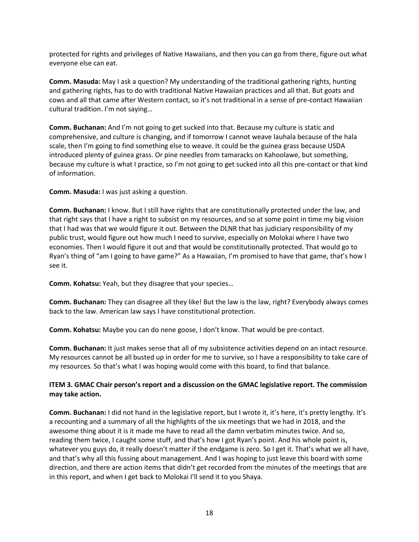protected for rights and privileges of Native Hawaiians, and then you can go from there, figure out what everyone else can eat.

**Comm. Masuda:** May I ask a question? My understanding of the traditional gathering rights, hunting and gathering rights, has to do with traditional Native Hawaiian practices and all that. But goats and cows and all that came after Western contact, so it's not traditional in a sense of pre-contact Hawaiian cultural tradition. I'm not saying…

**Comm. Buchanan:** And I'm not going to get sucked into that. Because my culture is static and comprehensive, and culture is changing, and if tomorrow I cannot weave lauhala because of the hala scale, then I'm going to find something else to weave. It could be the guinea grass because USDA introduced plenty of guinea grass. Or pine needles from tamaracks on Kahoolawe, but something, because my culture is what I practice, so I'm not going to get sucked into all this pre-contact or that kind of information.

**Comm. Masuda:** I was just asking a question.

**Comm. Buchanan:** I know. But I still have rights that are constitutionally protected under the law, and that right says that I have a right to subsist on my resources, and so at some point in time my big vision that I had was that we would figure it out. Between the DLNR that has judiciary responsibility of my public trust, would figure out how much I need to survive, especially on Molokai where I have two economies. Then I would figure it out and that would be constitutionally protected. That would go to Ryan's thing of "am I going to have game?" As a Hawaiian, I'm promised to have that game, that's how I see it.

**Comm. Kohatsu:** Yeah, but they disagree that your species…

**Comm. Buchanan:** They can disagree all they like! But the law is the law, right? Everybody always comes back to the law. American law says I have constitutional protection.

**Comm. Kohatsu:** Maybe you can do nene goose, I don't know. That would be pre-contact.

**Comm. Buchanan:** It just makes sense that all of my subsistence activities depend on an intact resource. My resources cannot be all busted up in order for me to survive, so I have a responsibility to take care of my resources. So that's what I was hoping would come with this board, to find that balance.

# **ITEM 3. GMAC Chair person's report and a discussion on the GMAC legislative report. The commission may take action.**

**Comm. Buchanan:** I did not hand in the legislative report, but I wrote it, it's here, it's pretty lengthy. It's a recounting and a summary of all the highlights of the six meetings that we had in 2018, and the awesome thing about it is it made me have to read all the damn verbatim minutes twice. And so, reading them twice, I caught some stuff, and that's how I got Ryan's point. And his whole point is, whatever you guys do, it really doesn't matter if the endgame is zero. So I get it. That's what we all have, and that's why all this fussing about management. And I was hoping to just leave this board with some direction, and there are action items that didn't get recorded from the minutes of the meetings that are in this report, and when I get back to Molokai I'll send it to you Shaya.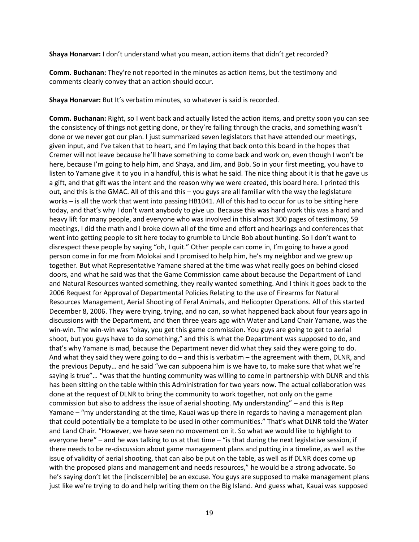**Shaya Honarvar:** I don't understand what you mean, action items that didn't get recorded?

**Comm. Buchanan:** They're not reported in the minutes as action items, but the testimony and comments clearly convey that an action should occur.

**Shaya Honarvar:** But It's verbatim minutes, so whatever is said is recorded.

**Comm. Buchanan:** Right, so I went back and actually listed the action items, and pretty soon you can see the consistency of things not getting done, or they're falling through the cracks, and something wasn't done or we never got our plan. I just summarized seven legislators that have attended our meetings, given input, and I've taken that to heart, and I'm laying that back onto this board in the hopes that Cremer will not leave because he'll have something to come back and work on, even though I won't be here, because I'm going to help him, and Shaya, and Jim, and Bob. So in your first meeting, you have to listen to Yamane give it to you in a handful, this is what he said. The nice thing about it is that he gave us a gift, and that gift was the intent and the reason why we were created, this board here. I printed this out, and this is the GMAC. All of this and this – you guys are all familiar with the way the legislature works – is all the work that went into passing HB1041. All of this had to occur for us to be sitting here today, and that's why I don't want anybody to give up. Because this was hard work this was a hard and heavy lift for many people, and everyone who was involved in this almost 300 pages of testimony, 59 meetings, I did the math and I broke down all of the time and effort and hearings and conferences that went into getting people to sit here today to grumble to Uncle Bob about hunting. So I don't want to disrespect these people by saying "oh, I quit." Other people can come in, I'm going to have a good person come in for me from Molokai and I promised to help him, he's my neighbor and we grew up together. But what Representative Yamane shared at the time was what really goes on behind closed doors, and what he said was that the Game Commission came about because the Department of Land and Natural Resources wanted something, they really wanted something. And I think it goes back to the 2006 Request for Approval of Departmental Policies Relating to the use of Firearms for Natural Resources Management, Aerial Shooting of Feral Animals, and Helicopter Operations. All of this started December 8, 2006. They were trying, trying, and no can, so what happened back about four years ago in discussions with the Department, and then three years ago with Water and Land Chair Yamane, was the win-win. The win-win was "okay, you get this game commission. You guys are going to get to aerial shoot, but you guys have to do something," and this is what the Department was supposed to do, and that's why Yamane is mad, because the Department never did what they said they were going to do. And what they said they were going to do – and this is verbatim – the agreement with them, DLNR, and the previous Deputy… and he said "we can subpoena him is we have to, to make sure that what we're saying is true"… "was that the hunting community was willing to come in partnership with DLNR and this has been sitting on the table within this Administration for two years now. The actual collaboration was done at the request of DLNR to bring the community to work together, not only on the game commission but also to address the issue of aerial shooting. My understanding" – and this is Rep Yamane – "my understanding at the time, Kauai was up there in regards to having a management plan that could potentially be a template to be used in other communities." That's what DLNR told the Water and Land Chair. "However, we have seen no movement on it. So what we would like to highlight to everyone here" – and he was talking to us at that time – "is that during the next legislative session, if there needs to be re-discussion about game management plans and putting in a timeline, as well as the issue of validity of aerial shooting, that can also be put on the table, as well as if DLNR does come up with the proposed plans and management and needs resources," he would be a strong advocate. So he's saying don't let the [indiscernible] be an excuse. You guys are supposed to make management plans just like we're trying to do and help writing them on the Big Island. And guess what, Kauai was supposed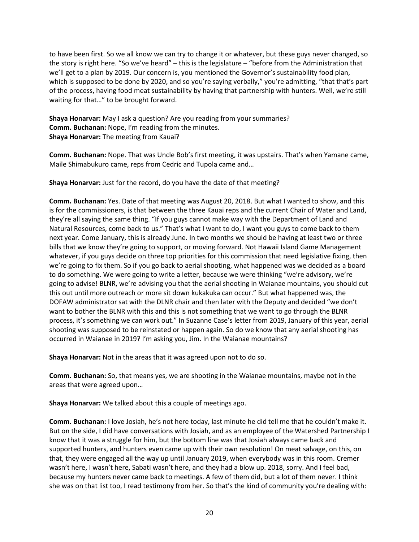to have been first. So we all know we can try to change it or whatever, but these guys never changed, so the story is right here. "So we've heard" – this is the legislature – "before from the Administration that we'll get to a plan by 2019. Our concern is, you mentioned the Governor's sustainability food plan, which is supposed to be done by 2020, and so you're saying verbally," you're admitting, "that that's part of the process, having food meat sustainability by having that partnership with hunters. Well, we're still waiting for that…" to be brought forward.

**Shaya Honarvar:** May I ask a question? Are you reading from your summaries? **Comm. Buchanan:** Nope, I'm reading from the minutes. **Shaya Honarvar:** The meeting from Kauai?

**Comm. Buchanan:** Nope. That was Uncle Bob's first meeting, it was upstairs. That's when Yamane came, Maile Shimabukuro came, reps from Cedric and Tupola came and…

**Shaya Honarvar:** Just for the record, do you have the date of that meeting?

**Comm. Buchanan:** Yes. Date of that meeting was August 20, 2018. But what I wanted to show, and this is for the commissioners, is that between the three Kauai reps and the current Chair of Water and Land, they're all saying the same thing. "If you guys cannot make way with the Department of Land and Natural Resources, come back to us." That's what I want to do, I want you guys to come back to them next year. Come January, this is already June. In two months we should be having at least two or three bills that we know they're going to support, or moving forward. Not Hawaii Island Game Management whatever, if you guys decide on three top priorities for this commission that need legislative fixing, then we're going to fix them. So if you go back to aerial shooting, what happened was we decided as a board to do something. We were going to write a letter, because we were thinking "we're advisory, we're going to advise! BLNR, we're advising you that the aerial shooting in Waianae mountains, you should cut this out until more outreach or more sit down kukakuka can occur." But what happened was, the DOFAW administrator sat with the DLNR chair and then later with the Deputy and decided "we don't want to bother the BLNR with this and this is not something that we want to go through the BLNR process, it's something we can work out." In Suzanne Case's letter from 2019, January of this year, aerial shooting was supposed to be reinstated or happen again. So do we know that any aerial shooting has occurred in Waianae in 2019? I'm asking you, Jim. In the Waianae mountains?

**Shaya Honarvar:** Not in the areas that it was agreed upon not to do so.

**Comm. Buchanan:** So, that means yes, we are shooting in the Waianae mountains, maybe not in the areas that were agreed upon…

**Shaya Honarvar:** We talked about this a couple of meetings ago.

**Comm. Buchanan:** I love Josiah, he's not here today, last minute he did tell me that he couldn't make it. But on the side, I did have conversations with Josiah, and as an employee of the Watershed Partnership I know that it was a struggle for him, but the bottom line was that Josiah always came back and supported hunters, and hunters even came up with their own resolution! On meat salvage, on this, on that, they were engaged all the way up until January 2019, when everybody was in this room. Cremer wasn't here, I wasn't here, Sabati wasn't here, and they had a blow up. 2018, sorry. And I feel bad, because my hunters never came back to meetings. A few of them did, but a lot of them never. I think she was on that list too, I read testimony from her. So that's the kind of community you're dealing with: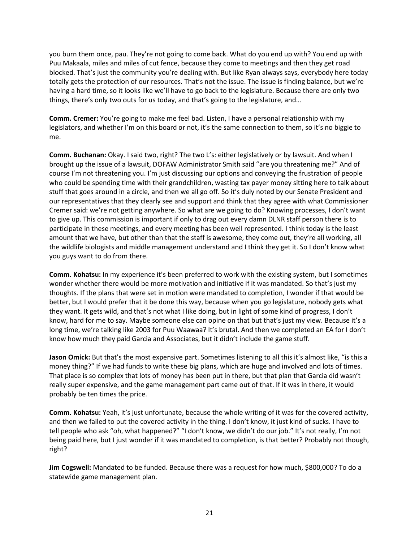you burn them once, pau. They're not going to come back. What do you end up with? You end up with Puu Makaala, miles and miles of cut fence, because they come to meetings and then they get road blocked. That's just the community you're dealing with. But like Ryan always says, everybody here today totally gets the protection of our resources. That's not the issue. The issue is finding balance, but we're having a hard time, so it looks like we'll have to go back to the legislature. Because there are only two things, there's only two outs for us today, and that's going to the legislature, and…

**Comm. Cremer:** You're going to make me feel bad. Listen, I have a personal relationship with my legislators, and whether I'm on this board or not, it's the same connection to them, so it's no biggie to me.

**Comm. Buchanan:** Okay. I said two, right? The two L's: either legislatively or by lawsuit. And when I brought up the issue of a lawsuit, DOFAW Administrator Smith said "are you threatening me?" And of course I'm not threatening you. I'm just discussing our options and conveying the frustration of people who could be spending time with their grandchildren, wasting tax payer money sitting here to talk about stuff that goes around in a circle, and then we all go off. So it's duly noted by our Senate President and our representatives that they clearly see and support and think that they agree with what Commissioner Cremer said: we're not getting anywhere. So what are we going to do? Knowing processes, I don't want to give up. This commission is important if only to drag out every damn DLNR staff person there is to participate in these meetings, and every meeting has been well represented. I think today is the least amount that we have, but other than that the staff is awesome, they come out, they're all working, all the wildlife biologists and middle management understand and I think they get it. So I don't know what you guys want to do from there.

**Comm. Kohatsu:** In my experience it's been preferred to work with the existing system, but I sometimes wonder whether there would be more motivation and initiative if it was mandated. So that's just my thoughts. If the plans that were set in motion were mandated to completion, I wonder if that would be better, but I would prefer that it be done this way, because when you go legislature, nobody gets what they want. It gets wild, and that's not what I like doing, but in light of some kind of progress, I don't know, hard for me to say. Maybe someone else can opine on that but that's just my view. Because it's a long time, we're talking like 2003 for Puu Waawaa? It's brutal. And then we completed an EA for I don't know how much they paid Garcia and Associates, but it didn't include the game stuff.

**Jason Omick:** But that's the most expensive part. Sometimes listening to all this it's almost like, "is this a money thing?" If we had funds to write these big plans, which are huge and involved and lots of times. That place is so complex that lots of money has been put in there, but that plan that Garcia did wasn't really super expensive, and the game management part came out of that. If it was in there, it would probably be ten times the price.

**Comm. Kohatsu:** Yeah, it's just unfortunate, because the whole writing of it was for the covered activity, and then we failed to put the covered activity in the thing. I don't know, it just kind of sucks. I have to tell people who ask "oh, what happened?" "I don't know, we didn't do our job." It's not really, I'm not being paid here, but I just wonder if it was mandated to completion, is that better? Probably not though, right?

**Jim Cogswell:** Mandated to be funded. Because there was a request for how much, \$800,000? To do a statewide game management plan.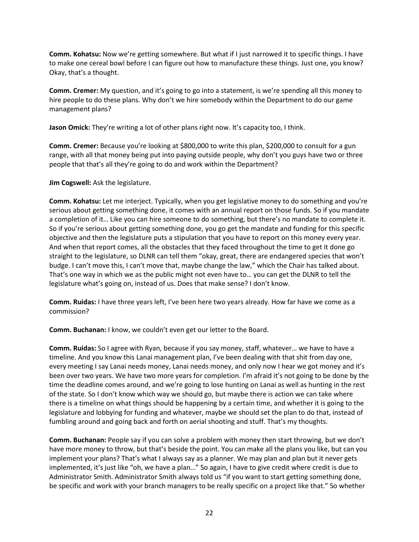**Comm. Kohatsu:** Now we're getting somewhere. But what if I just narrowed it to specific things. I have to make one cereal bowl before I can figure out how to manufacture these things. Just one, you know? Okay, that's a thought.

**Comm. Cremer:** My question, and it's going to go into a statement, is we're spending all this money to hire people to do these plans. Why don't we hire somebody within the Department to do our game management plans?

Jason Omick: They're writing a lot of other plans right now. It's capacity too, I think.

**Comm. Cremer:** Because you're looking at \$800,000 to write this plan, \$200,000 to consult for a gun range, with all that money being put into paying outside people, why don't you guys have two or three people that that's all they're going to do and work within the Department?

**Jim Cogswell:** Ask the legislature.

**Comm. Kohatsu:** Let me interject. Typically, when you get legislative money to do something and you're serious about getting something done, it comes with an annual report on those funds. So if you mandate a completion of it… Like you can hire someone to do something, but there's no mandate to complete it. So if you're serious about getting something done, you go get the mandate and funding for this specific objective and then the legislature puts a stipulation that you have to report on this money every year. And when that report comes, all the obstacles that they faced throughout the time to get it done go straight to the legislature, so DLNR can tell them "okay, great, there are endangered species that won't budge. I can't move this, I can't move that, maybe change the law," which the Chair has talked about. That's one way in which we as the public might not even have to… you can get the DLNR to tell the legislature what's going on, instead of us. Does that make sense? I don't know.

**Comm. Ruidas:** I have three years left, I've been here two years already. How far have we come as a commission?

**Comm. Buchanan:** I know, we couldn't even get our letter to the Board.

**Comm. Ruidas:** So I agree with Ryan, because if you say money, staff, whatever… we have to have a timeline. And you know this Lanai management plan, I've been dealing with that shit from day one, every meeting I say Lanai needs money, Lanai needs money, and only now I hear we got money and it's been over two years. We have two more years for completion. I'm afraid it's not going to be done by the time the deadline comes around, and we're going to lose hunting on Lanai as well as hunting in the rest of the state. So I don't know which way we should go, but maybe there is action we can take where there is a timeline on what things should be happening by a certain time, and whether it is going to the legislature and lobbying for funding and whatever, maybe we should set the plan to do that, instead of fumbling around and going back and forth on aerial shooting and stuff. That's my thoughts.

**Comm. Buchanan:** People say if you can solve a problem with money then start throwing, but we don't have more money to throw, but that's beside the point. You can make all the plans you like, but can you implement your plans? That's what I always say as a planner. We may plan and plan but it never gets implemented, it's just like "oh, we have a plan…" So again, I have to give credit where credit is due to Administrator Smith. Administrator Smith always told us "if you want to start getting something done, be specific and work with your branch managers to be really specific on a project like that." So whether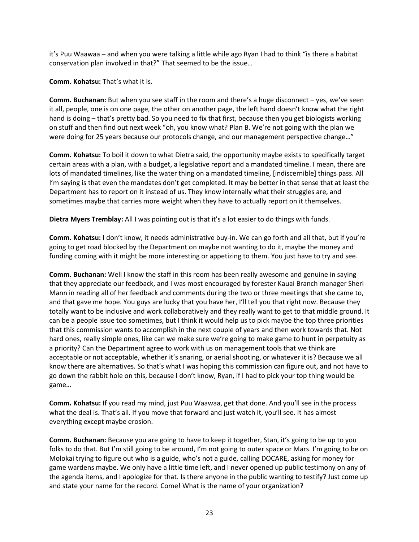it's Puu Waawaa – and when you were talking a little while ago Ryan I had to think "is there a habitat conservation plan involved in that?" That seemed to be the issue…

**Comm. Kohatsu:** That's what it is.

**Comm. Buchanan:** But when you see staff in the room and there's a huge disconnect – yes, we've seen it all, people, one is on one page, the other on another page, the left hand doesn't know what the right hand is doing – that's pretty bad. So you need to fix that first, because then you get biologists working on stuff and then find out next week "oh, you know what? Plan B. We're not going with the plan we were doing for 25 years because our protocols change, and our management perspective change…"

**Comm. Kohatsu:** To boil it down to what Dietra said, the opportunity maybe exists to specifically target certain areas with a plan, with a budget, a legislative report and a mandated timeline. I mean, there are lots of mandated timelines, like the water thing on a mandated timeline, [indiscernible] things pass. All I'm saying is that even the mandates don't get completed. It may be better in that sense that at least the Department has to report on it instead of us. They know internally what their struggles are, and sometimes maybe that carries more weight when they have to actually report on it themselves.

**Dietra Myers Tremblay:** All I was pointing out is that it's a lot easier to do things with funds.

**Comm. Kohatsu:** I don't know, it needs administrative buy-in. We can go forth and all that, but if you're going to get road blocked by the Department on maybe not wanting to do it, maybe the money and funding coming with it might be more interesting or appetizing to them. You just have to try and see.

**Comm. Buchanan:** Well I know the staff in this room has been really awesome and genuine in saying that they appreciate our feedback, and I was most encouraged by forester Kauai Branch manager Sheri Mann in reading all of her feedback and comments during the two or three meetings that she came to, and that gave me hope. You guys are lucky that you have her, I'll tell you that right now. Because they totally want to be inclusive and work collaboratively and they really want to get to that middle ground. It can be a people issue too sometimes, but I think it would help us to pick maybe the top three priorities that this commission wants to accomplish in the next couple of years and then work towards that. Not hard ones, really simple ones, like can we make sure we're going to make game to hunt in perpetuity as a priority? Can the Department agree to work with us on management tools that we think are acceptable or not acceptable, whether it's snaring, or aerial shooting, or whatever it is? Because we all know there are alternatives. So that's what I was hoping this commission can figure out, and not have to go down the rabbit hole on this, because I don't know, Ryan, if I had to pick your top thing would be game…

**Comm. Kohatsu:** If you read my mind, just Puu Waawaa, get that done. And you'll see in the process what the deal is. That's all. If you move that forward and just watch it, you'll see. It has almost everything except maybe erosion.

**Comm. Buchanan:** Because you are going to have to keep it together, Stan, it's going to be up to you folks to do that. But I'm still going to be around, I'm not going to outer space or Mars. I'm going to be on Molokai trying to figure out who is a guide, who's not a guide, calling DOCARE, asking for money for game wardens maybe. We only have a little time left, and I never opened up public testimony on any of the agenda items, and I apologize for that. Is there anyone in the public wanting to testify? Just come up and state your name for the record. Come! What is the name of your organization?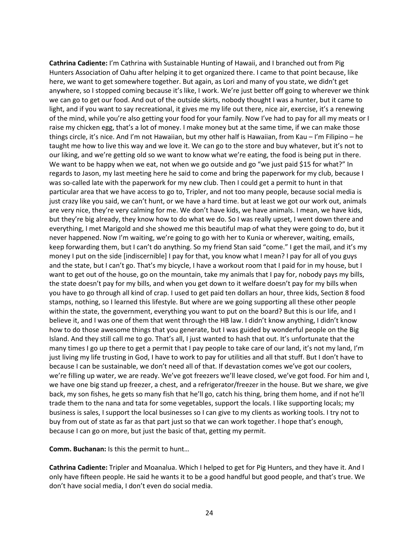**Cathrina Cadiente:** I'm Cathrina with Sustainable Hunting of Hawaii, and I branched out from Pig Hunters Association of Oahu after helping it to get organized there. I came to that point because, like here, we want to get somewhere together. But again, as Lori and many of you state, we didn't get anywhere, so I stopped coming because it's like, I work. We're just better off going to wherever we think we can go to get our food. And out of the outside skirts, nobody thought I was a hunter, but it came to light, and if you want to say recreational, it gives me my life out there, nice air, exercise, it's a renewing of the mind, while you're also getting your food for your family. Now I've had to pay for all my meats or I raise my chicken egg, that's a lot of money. I make money but at the same time, if we can make those things circle, it's nice. And I'm not Hawaiian, but my other half is Hawaiian, from Kau – I'm Filipino – he taught me how to live this way and we love it. We can go to the store and buy whatever, but it's not to our liking, and we're getting old so we want to know what we're eating, the food is being put in there. We want to be happy when we eat, not when we go outside and go "we just paid \$15 for what?" In regards to Jason, my last meeting here he said to come and bring the paperwork for my club, because I was so-called late with the paperwork for my new club. Then I could get a permit to hunt in that particular area that we have access to go to, Tripler, and not too many people, because social media is just crazy like you said, we can't hunt, or we have a hard time. but at least we got our work out, animals are very nice, they're very calming for me. We don't have kids, we have animals. I mean, we have kids, but they're big already, they know how to do what we do. So I was really upset, I went down there and everything, I met Marigold and she showed me this beautiful map of what they were going to do, but it never happened. Now I'm waiting, we're going to go with her to Kunia or wherever, waiting, emails, keep forwarding them, but I can't do anything. So my friend Stan said "come." I get the mail, and it's my money I put on the side [indiscernible] I pay for that, you know what I mean? I pay for all of you guys and the state, but I can't go. That's my bicycle, I have a workout room that I paid for in my house, but I want to get out of the house, go on the mountain, take my animals that I pay for, nobody pays my bills, the state doesn't pay for my bills, and when you get down to it welfare doesn't pay for my bills when you have to go through all kind of crap. I used to get paid ten dollars an hour, three kids, Section 8 food stamps, nothing, so I learned this lifestyle. But where are we going supporting all these other people within the state, the government, everything you want to put on the board? But this is our life, and I believe it, and I was one of them that went through the HB law. I didn't know anything, I didn't know how to do those awesome things that you generate, but I was guided by wonderful people on the Big Island. And they still call me to go. That's all, I just wanted to hash that out. It's unfortunate that the many times I go up there to get a permit that I pay people to take care of our land, it's not my land, I'm just living my life trusting in God, I have to work to pay for utilities and all that stuff. But I don't have to because I can be sustainable, we don't need all of that. If devastation comes we've got our coolers, we're filling up water, we are ready. We've got freezers we'll leave closed, we've got food. For him and I, we have one big stand up freezer, a chest, and a refrigerator/freezer in the house. But we share, we give back, my son fishes, he gets so many fish that he'll go, catch his thing, bring them home, and if not he'll trade them to the nana and tata for some vegetables, support the locals. I like supporting locals; my business is sales, I support the local businesses so I can give to my clients as working tools. I try not to buy from out of state as far as that part just so that we can work together. I hope that's enough, because I can go on more, but just the basic of that, getting my permit.

**Comm. Buchanan:** Is this the permit to hunt…

**Cathrina Cadiente:** Tripler and Moanalua. Which I helped to get for Pig Hunters, and they have it. And I only have fifteen people. He said he wants it to be a good handful but good people, and that's true. We don't have social media, I don't even do social media.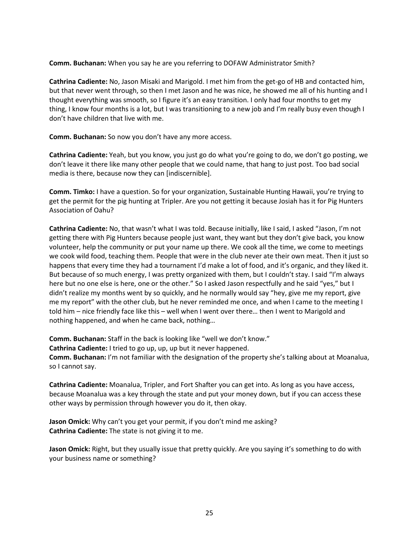**Comm. Buchanan:** When you say he are you referring to DOFAW Administrator Smith?

**Cathrina Cadiente:** No, Jason Misaki and Marigold. I met him from the get-go of HB and contacted him, but that never went through, so then I met Jason and he was nice, he showed me all of his hunting and I thought everything was smooth, so I figure it's an easy transition. I only had four months to get my thing, I know four months is a lot, but I was transitioning to a new job and I'm really busy even though I don't have children that live with me.

**Comm. Buchanan:** So now you don't have any more access.

**Cathrina Cadiente:** Yeah, but you know, you just go do what you're going to do, we don't go posting, we don't leave it there like many other people that we could name, that hang to just post. Too bad social media is there, because now they can [indiscernible].

**Comm. Timko:** I have a question. So for your organization, Sustainable Hunting Hawaii, you're trying to get the permit for the pig hunting at Tripler. Are you not getting it because Josiah has it for Pig Hunters Association of Oahu?

**Cathrina Cadiente:** No, that wasn't what I was told. Because initially, like I said, I asked "Jason, I'm not getting there with Pig Hunters because people just want, they want but they don't give back, you know volunteer, help the community or put your name up there. We cook all the time, we come to meetings we cook wild food, teaching them. People that were in the club never ate their own meat. Then it just so happens that every time they had a tournament I'd make a lot of food, and it's organic, and they liked it. But because of so much energy, I was pretty organized with them, but I couldn't stay. I said "I'm always here but no one else is here, one or the other." So I asked Jason respectfully and he said "yes," but I didn't realize my months went by so quickly, and he normally would say "hey, give me my report, give me my report" with the other club, but he never reminded me once, and when I came to the meeting I told him – nice friendly face like this – well when I went over there… then I went to Marigold and nothing happened, and when he came back, nothing…

**Comm. Buchanan:** Staff in the back is looking like "well we don't know." **Cathrina Cadiente:** I tried to go up, up, up but it never happened. **Comm. Buchanan:** I'm not familiar with the designation of the property she's talking about at Moanalua,

**Cathrina Cadiente:** Moanalua, Tripler, and Fort Shafter you can get into. As long as you have access, because Moanalua was a key through the state and put your money down, but if you can access these other ways by permission through however you do it, then okay.

**Jason Omick:** Why can't you get your permit, if you don't mind me asking? **Cathrina Cadiente:** The state is not giving it to me.

so I cannot say.

**Jason Omick:** Right, but they usually issue that pretty quickly. Are you saying it's something to do with your business name or something?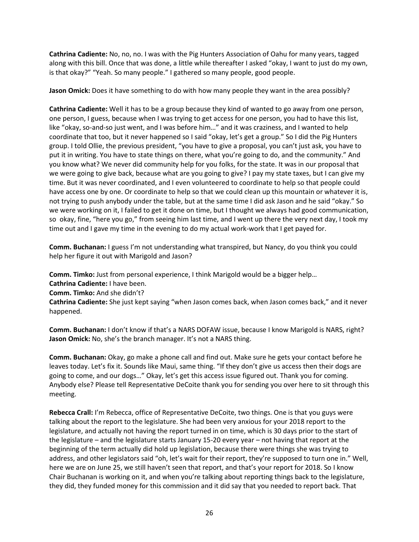**Cathrina Cadiente:** No, no, no. I was with the Pig Hunters Association of Oahu for many years, tagged along with this bill. Once that was done, a little while thereafter I asked "okay, I want to just do my own, is that okay?" "Yeah. So many people." I gathered so many people, good people.

**Jason Omick:** Does it have something to do with how many people they want in the area possibly?

**Cathrina Cadiente:** Well it has to be a group because they kind of wanted to go away from one person, one person, I guess, because when I was trying to get access for one person, you had to have this list, like "okay, so-and-so just went, and I was before him…" and it was craziness, and I wanted to help coordinate that too, but it never happened so I said "okay, let's get a group." So I did the Pig Hunters group. I told Ollie, the previous president, "you have to give a proposal, you can't just ask, you have to put it in writing. You have to state things on there, what you're going to do, and the community." And you know what? We never did community help for you folks, for the state. It was in our proposal that we were going to give back, because what are you going to give? I pay my state taxes, but I can give my time. But it was never coordinated, and I even volunteered to coordinate to help so that people could have access one by one. Or coordinate to help so that we could clean up this mountain or whatever it is, not trying to push anybody under the table, but at the same time I did ask Jason and he said "okay." So we were working on it, I failed to get it done on time, but I thought we always had good communication, so okay, fine, "here you go," from seeing him last time, and I went up there the very next day, I took my time out and I gave my time in the evening to do my actual work-work that I get payed for.

**Comm. Buchanan:** I guess I'm not understanding what transpired, but Nancy, do you think you could help her figure it out with Marigold and Jason?

**Comm. Timko:** Just from personal experience, I think Marigold would be a bigger help…

**Cathrina Cadiente:** I have been.

**Comm. Timko:** And she didn't?

**Cathrina Cadiente:** She just kept saying "when Jason comes back, when Jason comes back," and it never happened.

**Comm. Buchanan:** I don't know if that's a NARS DOFAW issue, because I know Marigold is NARS, right? **Jason Omick:** No, she's the branch manager. It's not a NARS thing.

**Comm. Buchanan:** Okay, go make a phone call and find out. Make sure he gets your contact before he leaves today. Let's fix it. Sounds like Maui, same thing. "If they don't give us access then their dogs are going to come, and our dogs…" Okay, let's get this access issue figured out. Thank you for coming. Anybody else? Please tell Representative DeCoite thank you for sending you over here to sit through this meeting.

**Rebecca Crall:** I'm Rebecca, office of Representative DeCoite, two things. One is that you guys were talking about the report to the legislature. She had been very anxious for your 2018 report to the legislature, and actually not having the report turned in on time, which is 30 days prior to the start of the legislature – and the legislature starts January 15-20 every year – not having that report at the beginning of the term actually did hold up legislation, because there were things she was trying to address, and other legislators said "oh, let's wait for their report, they're supposed to turn one in." Well, here we are on June 25, we still haven't seen that report, and that's your report for 2018. So I know Chair Buchanan is working on it, and when you're talking about reporting things back to the legislature, they did, they funded money for this commission and it did say that you needed to report back. That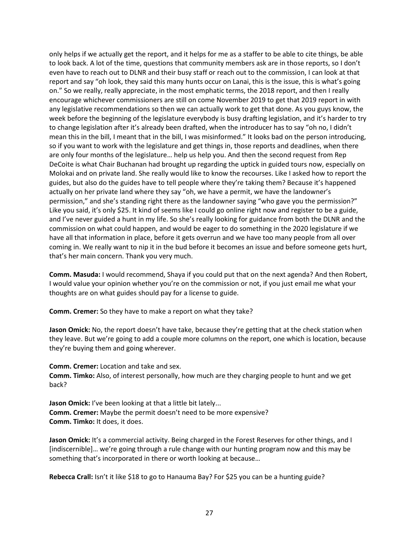only helps if we actually get the report, and it helps for me as a staffer to be able to cite things, be able to look back. A lot of the time, questions that community members ask are in those reports, so I don't even have to reach out to DLNR and their busy staff or reach out to the commission, I can look at that report and say "oh look, they said this many hunts occur on Lanai, this is the issue, this is what's going on." So we really, really appreciate, in the most emphatic terms, the 2018 report, and then I really encourage whichever commissioners are still on come November 2019 to get that 2019 report in with any legislative recommendations so then we can actually work to get that done. As you guys know, the week before the beginning of the legislature everybody is busy drafting legislation, and it's harder to try to change legislation after it's already been drafted, when the introducer has to say "oh no, I didn't mean this in the bill, I meant that in the bill, I was misinformed." It looks bad on the person introducing, so if you want to work with the legislature and get things in, those reports and deadlines, when there are only four months of the legislature… help us help you. And then the second request from Rep DeCoite is what Chair Buchanan had brought up regarding the uptick in guided tours now, especially on Molokai and on private land. She really would like to know the recourses. Like I asked how to report the guides, but also do the guides have to tell people where they're taking them? Because it's happened actually on her private land where they say "oh, we have a permit, we have the landowner's permission," and she's standing right there as the landowner saying "who gave you the permission?" Like you said, it's only \$25. It kind of seems like I could go online right now and register to be a guide, and I've never guided a hunt in my life. So she's really looking for guidance from both the DLNR and the commission on what could happen, and would be eager to do something in the 2020 legislature if we have all that information in place, before it gets overrun and we have too many people from all over coming in. We really want to nip it in the bud before it becomes an issue and before someone gets hurt, that's her main concern. Thank you very much.

**Comm. Masuda:** I would recommend, Shaya if you could put that on the next agenda? And then Robert, I would value your opinion whether you're on the commission or not, if you just email me what your thoughts are on what guides should pay for a license to guide.

**Comm. Cremer:** So they have to make a report on what they take?

**Jason Omick:** No, the report doesn't have take, because they're getting that at the check station when they leave. But we're going to add a couple more columns on the report, one which is location, because they're buying them and going wherever.

**Comm. Cremer:** Location and take and sex. **Comm. Timko:** Also, of interest personally, how much are they charging people to hunt and we get back?

**Jason Omick:** I've been looking at that a little bit lately... **Comm. Cremer:** Maybe the permit doesn't need to be more expensive? **Comm. Timko:** It does, it does.

Jason Omick: It's a commercial activity. Being charged in the Forest Reserves for other things, and I [indiscernible]… we're going through a rule change with our hunting program now and this may be something that's incorporated in there or worth looking at because…

**Rebecca Crall:** Isn't it like \$18 to go to Hanauma Bay? For \$25 you can be a hunting guide?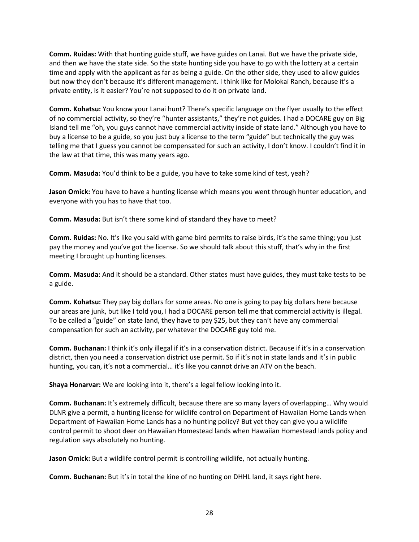**Comm. Ruidas:** With that hunting guide stuff, we have guides on Lanai. But we have the private side, and then we have the state side. So the state hunting side you have to go with the lottery at a certain time and apply with the applicant as far as being a guide. On the other side, they used to allow guides but now they don't because it's different management. I think like for Molokai Ranch, because it's a private entity, is it easier? You're not supposed to do it on private land.

**Comm. Kohatsu:** You know your Lanai hunt? There's specific language on the flyer usually to the effect of no commercial activity, so they're "hunter assistants," they're not guides. I had a DOCARE guy on Big Island tell me "oh, you guys cannot have commercial activity inside of state land." Although you have to buy a license to be a guide, so you just buy a license to the term "guide" but technically the guy was telling me that I guess you cannot be compensated for such an activity, I don't know. I couldn't find it in the law at that time, this was many years ago.

**Comm. Masuda:** You'd think to be a guide, you have to take some kind of test, yeah?

**Jason Omick:** You have to have a hunting license which means you went through hunter education, and everyone with you has to have that too.

**Comm. Masuda:** But isn't there some kind of standard they have to meet?

**Comm. Ruidas:** No. It's like you said with game bird permits to raise birds, it's the same thing; you just pay the money and you've got the license. So we should talk about this stuff, that's why in the first meeting I brought up hunting licenses.

**Comm. Masuda:** And it should be a standard. Other states must have guides, they must take tests to be a guide.

**Comm. Kohatsu:** They pay big dollars for some areas. No one is going to pay big dollars here because our areas are junk, but like I told you, I had a DOCARE person tell me that commercial activity is illegal. To be called a "guide" on state land, they have to pay \$25, but they can't have any commercial compensation for such an activity, per whatever the DOCARE guy told me.

**Comm. Buchanan:** I think it's only illegal if it's in a conservation district. Because if it's in a conservation district, then you need a conservation district use permit. So if it's not in state lands and it's in public hunting, you can, it's not a commercial… it's like you cannot drive an ATV on the beach.

**Shaya Honarvar:** We are looking into it, there's a legal fellow looking into it.

**Comm. Buchanan:** It's extremely difficult, because there are so many layers of overlapping… Why would DLNR give a permit, a hunting license for wildlife control on Department of Hawaiian Home Lands when Department of Hawaiian Home Lands has a no hunting policy? But yet they can give you a wildlife control permit to shoot deer on Hawaiian Homestead lands when Hawaiian Homestead lands policy and regulation says absolutely no hunting.

**Jason Omick:** But a wildlife control permit is controlling wildlife, not actually hunting.

**Comm. Buchanan:** But it's in total the kine of no hunting on DHHL land, it says right here.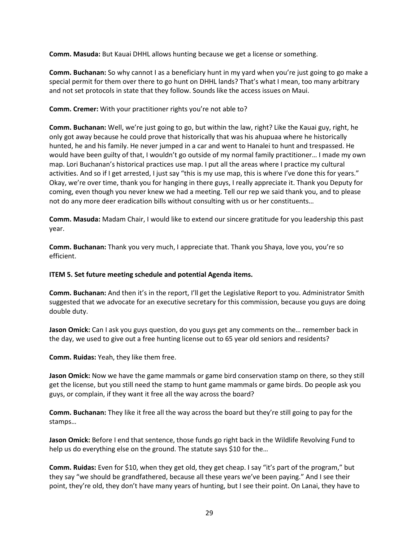**Comm. Masuda:** But Kauai DHHL allows hunting because we get a license or something.

**Comm. Buchanan:** So why cannot I as a beneficiary hunt in my yard when you're just going to go make a special permit for them over there to go hunt on DHHL lands? That's what I mean, too many arbitrary and not set protocols in state that they follow. Sounds like the access issues on Maui.

### **Comm. Cremer:** With your practitioner rights you're not able to?

**Comm. Buchanan:** Well, we're just going to go, but within the law, right? Like the Kauai guy, right, he only got away because he could prove that historically that was his ahupuaa where he historically hunted, he and his family. He never jumped in a car and went to Hanalei to hunt and trespassed. He would have been guilty of that, I wouldn't go outside of my normal family practitioner… I made my own map. Lori Buchanan's historical practices use map. I put all the areas where I practice my cultural activities. And so if I get arrested, I just say "this is my use map, this is where I've done this for years." Okay, we're over time, thank you for hanging in there guys, I really appreciate it. Thank you Deputy for coming, even though you never knew we had a meeting. Tell our rep we said thank you, and to please not do any more deer eradication bills without consulting with us or her constituents…

**Comm. Masuda:** Madam Chair, I would like to extend our sincere gratitude for you leadership this past year.

**Comm. Buchanan:** Thank you very much, I appreciate that. Thank you Shaya, love you, you're so efficient.

### **ITEM 5. Set future meeting schedule and potential Agenda items.**

**Comm. Buchanan:** And then it's in the report, I'll get the Legislative Report to you. Administrator Smith suggested that we advocate for an executive secretary for this commission, because you guys are doing double duty.

**Jason Omick:** Can I ask you guys question, do you guys get any comments on the… remember back in the day, we used to give out a free hunting license out to 65 year old seniors and residents?

**Comm. Ruidas:** Yeah, they like them free.

**Jason Omick:** Now we have the game mammals or game bird conservation stamp on there, so they still get the license, but you still need the stamp to hunt game mammals or game birds. Do people ask you guys, or complain, if they want it free all the way across the board?

**Comm. Buchanan:** They like it free all the way across the board but they're still going to pay for the stamps…

**Jason Omick:** Before I end that sentence, those funds go right back in the Wildlife Revolving Fund to help us do everything else on the ground. The statute says \$10 for the…

**Comm. Ruidas:** Even for \$10, when they get old, they get cheap. I say "it's part of the program," but they say "we should be grandfathered, because all these years we've been paying." And I see their point, they're old, they don't have many years of hunting, but I see their point. On Lanai, they have to